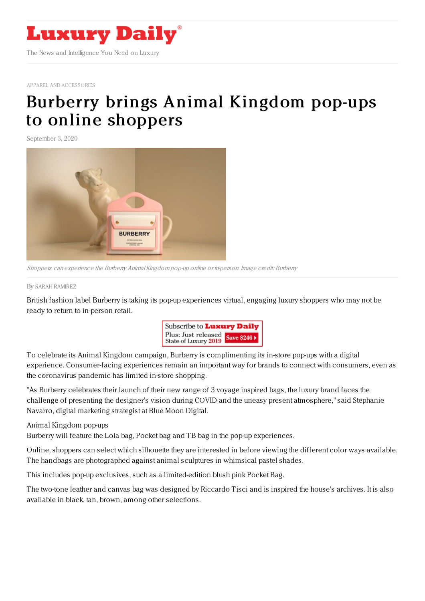

APPAREL AND [ACCESSORIES](https://www.luxurydaily.com/category/sectors/apparel-and-accessories/)

## Burberry brings Animal [Kingdom](https://www.luxurydaily.com/?p=312120) pop-ups to online shoppers

September 3, 2020



Shoppers can experience the Burberry Animal Kingdom pop-up online or in-person. Image credit: Burberry

## By SARAH [RAMIREZ](file:///author/sarah-ramirez)

British fashion label Burberry is taking its pop-up experiences virtual, engaging luxury shoppers who may not be ready to return to in-person retail.



To celebrate its Animal Kingdom campaign, Burberry is complimenting its in-store pop-ups with a digital experience. Consumer-facing experiences remain an important way for brands to connect with consumers, even as the coronavirus pandemic has limited in-store shopping.

"As Burberry celebrates their launch of their new range of 3 voyage inspired bags, the luxury brand faces the challenge of presenting the designer's vision during COVID and the uneasy present atmosphere," said Stephanie Navarro, digital marketing strategist at Blue Moon Digital.

Animal Kingdom pop-ups

Burberry will feature the Lola bag, Pocket bag and TB bag in the pop-up experiences.

Online, shoppers can select which silhouette they are interested in before viewing the different color ways available. The handbags are photographed against animal sculptures in whimsical pastel shades.

This includes pop-up exclusives, such as a limited-edition blush pink Pocket Bag.

The two-tone leather and canvas bag was designed by Riccardo Tisci and is inspired the house's archives. It is also available in black, tan, brown, among other selections.